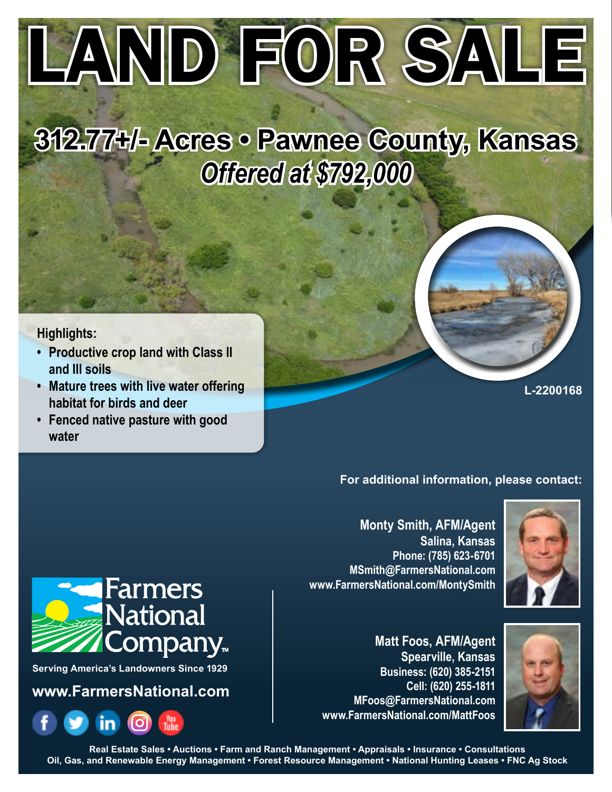# LAND FOR SALE

# **312.77+/- Acres • Pawnee County, Kansas** *Offered at \$792,000*

# **Highlights:**

- **• Productive crop land with Class II and III soils**
- **• Mature trees with live water offering habitat for birds and deer**
- **• Fenced native pasture with good water**

#### **L-2200168**

## **For additional information, please contact:**

**Monty Smith, AFM/Agent Salina, Kansas Phone: (785) 623-6701 MSmith@FarmersNational.com www.FarmersNational.com/MontySmith**



**Matt Foos, AFM/Agent Spearville, Kansas Business: (620) 385-2151 Cell: (620) 255-1811 MFoos@FarmersNational.com www.FarmersNational.com/MattFoos**





**Serving America's Landowners Since 1929**

**www.FarmersNational.com**



**Real Estate Sales • Auctions • Farm and Ranch Management • Appraisals • Insurance • Consultations Oil, Gas, and Renewable Energy Management • Forest Resource Management • National Hunting Leases • FNC Ag Stock**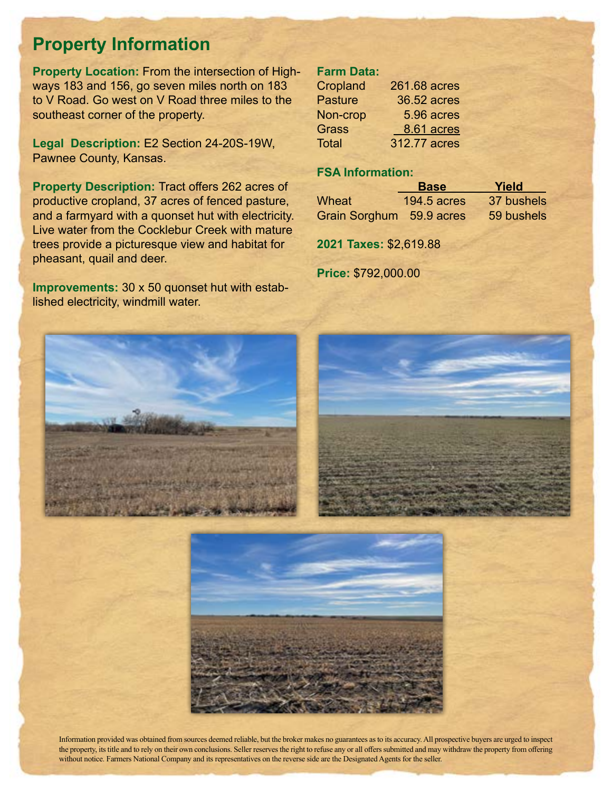# **Property Information**

**Property Location:** From the intersection of Highways 183 and 156, go seven miles north on 183 to V Road. Go west on V Road three miles to the southeast corner of the property.

**Legal Description:** E2 Section 24-20S-19W, Pawnee County, Kansas.

**Property Description:** Tract offers 262 acres of productive cropland, 37 acres of fenced pasture, and a farmyard with a quonset hut with electricity. Live water from the Cocklebur Creek with mature trees provide a picturesque view and habitat for pheasant, quail and deer.

**Improvements:** 30 x 50 quonset hut with established electricity, windmill water.

## **Farm Data:**

| Cropland       | 261.68 acres |
|----------------|--------------|
| <b>Pasture</b> | 36.52 acres  |
| Non-crop       | 5.96 acres   |
| Grass          | 8.61 acres   |
| <b>Total</b>   | 312.77 acres |

# **FSA Information:**

|                          | <b>Base</b>    | Yield      |
|--------------------------|----------------|------------|
| Wheat                    | 194.5 $a$ cres | 37 bushels |
| Grain Sorghum 59.9 acres |                | 59 bushels |

**2021 Taxes:** \$2,619.88

**Price:** \$792,000.00







Information provided was obtained from sources deemed reliable, but the broker makes no guarantees as to its accuracy. All prospective buyers are urged to inspect the property, its title and to rely on their own conclusions. Seller reserves the right to refuse any or all offers submitted and may withdraw the property from offering without notice. Farmers National Company and its representatives on the reverse side are the Designated Agents for the seller.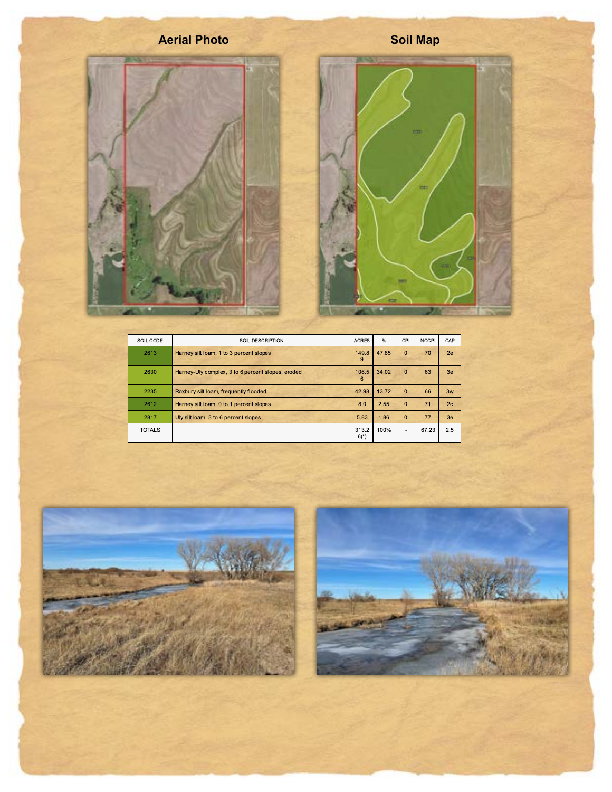

| SOIL CODE     | SOIL DESCRIPTION                                  | <b>ACRES</b>    | $\%$  | CPI            | <b>NCCPI</b> | CAP |
|---------------|---------------------------------------------------|-----------------|-------|----------------|--------------|-----|
| 2613          | Harney silt loam, 1 to 3 percent slopes           | 149.8<br>9      | 47.85 | $\mathbf{0}$   | 70           | 2e  |
| 2630          | Harney-Uly complex, 3 to 6 percent slopes, eroded | 106.5<br>6      | 34.02 | $\Omega$       | 63           | 3e  |
| 2235          | Roxbury silt loam, frequently flooded             | 42.98           | 13.72 | $\Omega$       | 66           | 3w  |
| 2612          | Harney silt loam, 0 to 1 percent slopes           | 8.0             | 2.55  | $\Omega$       | 71           | 2c  |
| 2817          | Uly silt loam, 3 to 6 percent slopes              | 5.83            | 1.86  | $\Omega$       | 77           | 3e  |
| <b>TOTALS</b> |                                                   | 313.2<br>$6(*)$ | 100%  | $\overline{a}$ | 67.23        | 2.5 |